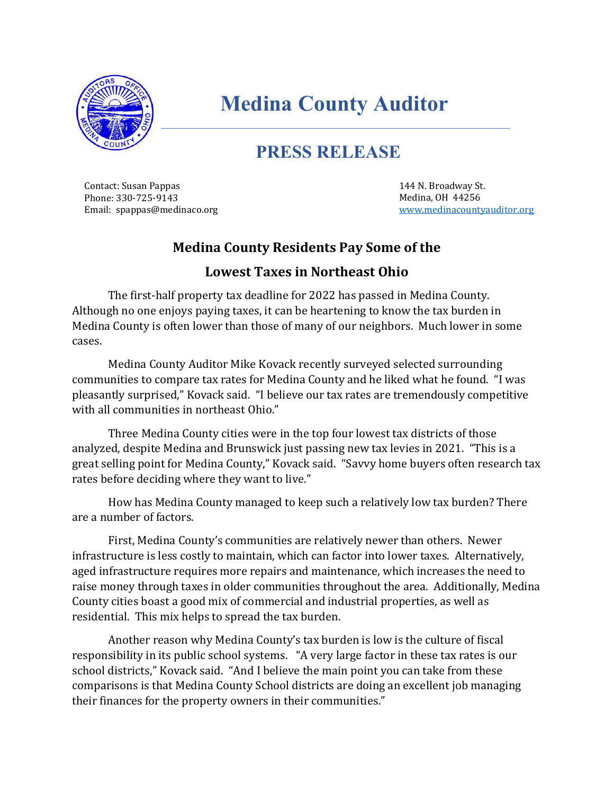

## **Medina County Auditor**

## **PRESS RELEASE**

Contact: Susan Pappas Phone: 330-725-9143 Email: spappas@medinaco.org

144 N. Broadway St. Medina, OH 44256 [www.medinacountyauditor.org](http://www.medinacountyauditor.org/)

## **Medina County Residents Pay Some of the**

## **Lowest Taxes in Northeast Ohio**

The first-half property tax deadline for 2022 has passed in Medina County. Although no one enjoys paying taxes, it can be heartening to know the tax burden in Medina County is often lower than those of many of our neighbors. Much lower in some cases.

Medina County Auditor Mike Kovack recently surveyed selected surrounding communities to compare tax rates for Medina County and he liked what he found. "I was pleasantly surprised," Kovack said. "I believe our tax rates are tremendously competitive with all communities in northeast Ohio."

Three Medina County cities were in the top four lowest tax districts of those analyzed, despite Medina and Brunswick just passing new tax levies in 2021. "This is a great selling point for Medina County," Kovack said. "Savvy home buyers often research tax rates before deciding where they want to live."

How has Medina County managed to keep such a relatively low tax burden? There are a number of factors.

First, Medina County's communities are relatively newer than others. Newer infrastructure is less costly to maintain, which can factor into lower taxes. Alternatively, aged infrastructure requires more repairs and maintenance, which increases the need to raise money through taxes in older communities throughout the area. Additionally, Medina County cities boast a good mix of commercial and industrial properties, as well as residential. This mix helps to spread the tax burden.

Another reason why Medina County's tax burden is low is the culture of fiscal responsibility in its public school systems. "A very large factor in these tax rates is our school districts," Kovack said. "And I believe the main point you can take from these comparisons is that Medina County School districts are doing an excellent job managing their finances for the property owners in their communities."